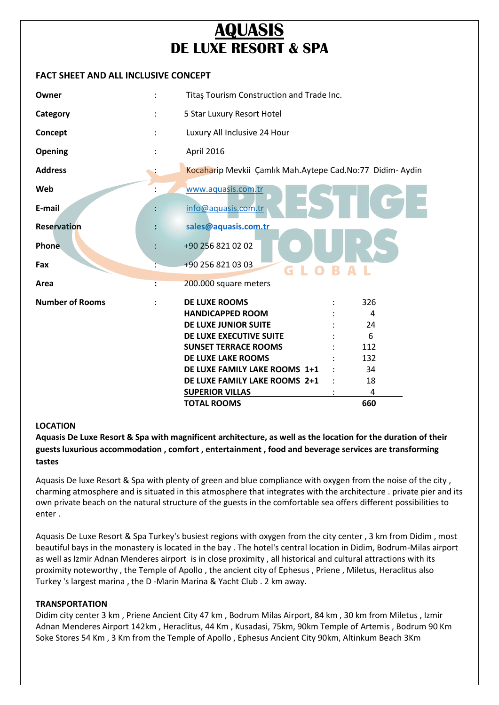# **AQUASIS DE LUXE RESORT & SPA**

## **FACT SHEET AND ALL INCLUSIVE CONCEPT**

| Owner                  |                | Titaş Tourism Construction and Trade Inc.                |     |
|------------------------|----------------|----------------------------------------------------------|-----|
| Category               |                | 5 Star Luxury Resort Hotel                               |     |
| Concept                |                | Luxury All Inclusive 24 Hour                             |     |
| Opening                |                | April 2016                                               |     |
| <b>Address</b>         |                | Kocaharip Mevkii Çamlık Mah.Aytepe Cad.No:77 Didim-Aydin |     |
| Web                    |                | www.aquasis.com.tr                                       |     |
| E-mail                 |                | info@aquasis.com.tr                                      |     |
| Reservation            |                | sales@aquasis.com.tr                                     |     |
| <b>Phone</b>           |                | +90 256 821 02 02                                        |     |
| Fax                    |                | +90 256 821 03 03<br>G                                   |     |
| Area                   | $\ddot{\cdot}$ | 200.000 square meters                                    |     |
| <b>Number of Rooms</b> |                | <b>DE LUXE ROOMS</b>                                     | 326 |
|                        |                | <b>HANDICAPPED ROOM</b>                                  | 4   |
|                        |                | DE LUXE JUNIOR SUITE                                     | 24  |
|                        |                | DE LUXE EXECUTIVE SUITE                                  | 6   |
|                        |                | <b>SUNSET TERRACE ROOMS</b>                              | 112 |
|                        |                | DE LUXE LAKE ROOMS                                       | 132 |
|                        |                | DE LUXE FAMILY LAKE ROOMS 1+1                            | 34  |
|                        |                | DE LUXE FAMILY LAKE ROOMS 2+1                            | 18  |
|                        |                | <b>SUPERIOR VILLAS</b>                                   | 4   |
|                        |                | <b>TOTAL ROOMS</b>                                       | 660 |

## **LOCATION**

**Aquasis De Luxe Resort & Spa with magnificent architecture, as well as the location for the duration of their guests luxurious accommodation , comfort , entertainment , food and beverage services are transforming tastes** 

Aquasis De luxe Resort & Spa with plenty of green and blue compliance with oxygen from the noise of the city , charming atmosphere and is situated in this atmosphere that integrates with the architecture . private pier and its own private beach on the natural structure of the guests in the comfortable sea offers different possibilities to enter .

Aquasis De Luxe Resort & Spa Turkey's busiest regions with oxygen from the city center , 3 km from Didim , most beautiful bays in the monastery is located in the bay . The hotel's central location in Didim, Bodrum-Milas airport as well as Izmir Adnan Menderes airport is in close proximity , all historical and cultural attractions with its proximity noteworthy , the Temple of Apollo , the ancient city of Ephesus , Priene , Miletus, Heraclitus also Turkey 's largest marina , the D -Marin Marina & Yacht Club . 2 km away.

#### **TRANSPORTATION**

Didim city center 3 km , Priene Ancient City 47 km , Bodrum Milas Airport, 84 km , 30 km from Miletus , Izmir Adnan Menderes Airport 142km , Heraclitus, 44 Km , Kusadasi, 75km, 90km Temple of Artemis , Bodrum 90 Km Soke Stores 54 Km , 3 Km from the Temple of Apollo , Ephesus Ancient City 90km, Altinkum Beach 3Km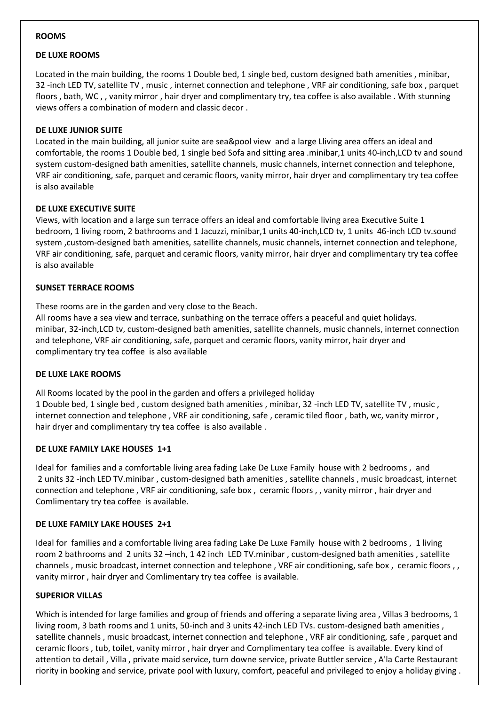#### **ROOMS**

#### **DE LUXE ROOMS**

Located in the main building, the rooms 1 Double bed, 1 single bed, custom designed bath amenities , minibar, 32 -inch LED TV, satellite TV , music , internet connection and telephone , VRF air conditioning, safe box , parquet floors , bath, WC , , vanity mirror , hair dryer and complimentary try, tea coffee is also available . With stunning views offers a combination of modern and classic decor .

#### **DE LUXE JUNIOR SUITE**

Located in the main building, all junior suite are sea&pool view and a large Lliving area offers an ideal and comfortable, the rooms 1 Double bed, 1 single bed Sofa and sitting area .minibar,1 units 40-inch,LCD tv and sound system custom-designed bath amenities, satellite channels, music channels, internet connection and telephone, VRF air conditioning, safe, parquet and ceramic floors, vanity mirror, hair dryer and complimentary try tea coffee is also available

#### **DE LUXE EXECUTIVE SUITE**

Views, with location and a large sun terrace offers an ideal and comfortable living area Executive Suite 1 bedroom, 1 living room, 2 bathrooms and 1 Jacuzzi, minibar,1 units 40-inch,LCD tv, 1 units 46-inch LCD tv.sound system ,custom-designed bath amenities, satellite channels, music channels, internet connection and telephone, VRF air conditioning, safe, parquet and ceramic floors, vanity mirror, hair dryer and complimentary try tea coffee is also available

#### **SUNSET TERRACE ROOMS**

These rooms are in the garden and very close to the Beach.

All rooms have a sea view and terrace, sunbathing on the terrace offers a peaceful and quiet holidays. minibar, 32-inch,LCD tv, custom-designed bath amenities, satellite channels, music channels, internet connection and telephone, VRF air conditioning, safe, parquet and ceramic floors, vanity mirror, hair dryer and complimentary try tea coffee is also available

#### **DE LUXE LAKE ROOMS**

All Rooms located by the pool in the garden and offers a privileged holiday 1 Double bed, 1 single bed , custom designed bath amenities , minibar, 32 -inch LED TV, satellite TV , music , internet connection and telephone , VRF air conditioning, safe , ceramic tiled floor , bath, wc, vanity mirror , hair dryer and complimentary try tea coffee is also available .

#### **DE LUXE FAMILY LAKE HOUSES 1+1**

Ideal for families and a comfortable living area fading Lake De Luxe Family house with 2 bedrooms , and 2 units 32 -inch LED TV.minibar , custom-designed bath amenities , satellite channels , music broadcast, internet connection and telephone , VRF air conditioning, safe box , ceramic floors , , vanity mirror , hair dryer and Comlimentary try tea coffee is available.

#### **DE LUXE FAMILY LAKE HOUSES 2+1**

Ideal for families and a comfortable living area fading Lake De Luxe Family house with 2 bedrooms , 1 living room 2 bathrooms and 2 units 32 –inch, 1 42 inch LED TV.minibar, custom-designed bath amenities, satellite channels , music broadcast, internet connection and telephone , VRF air conditioning, safe box , ceramic floors , , vanity mirror , hair dryer and Comlimentary try tea coffee is available.

#### **SUPERIOR VILLAS**

Which is intended for large families and group of friends and offering a separate living area , Villas 3 bedrooms, 1 living room, 3 bath rooms and 1 units, 50-inch and 3 units 42-inch LED TVs. custom-designed bath amenities , satellite channels , music broadcast, internet connection and telephone , VRF air conditioning, safe , parquet and ceramic floors , tub, toilet, vanity mirror , hair dryer and Complimentary tea coffee is available. Every kind of attention to detail , Villa , private maid service, turn downe service, private Buttler service , A'la Carte Restaurant riority in booking and service, private pool with luxury, comfort, peaceful and privileged to enjoy a holiday giving .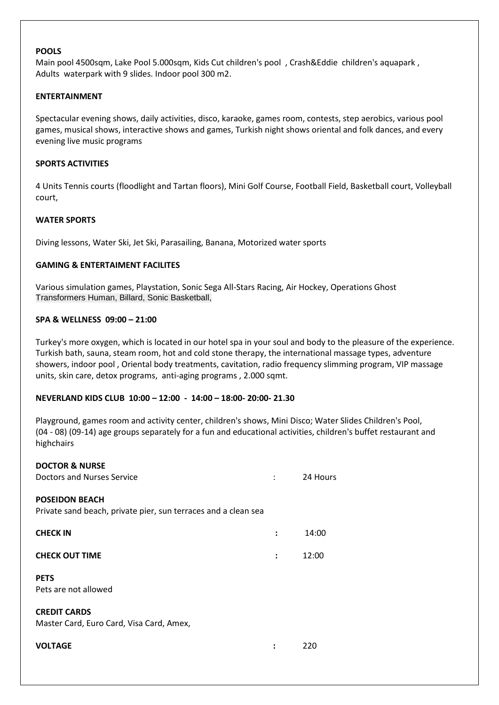#### **POOLS**

Main pool 4500sqm, Lake Pool 5.000sqm, Kids Cut children's pool , Crash&Eddie children's aquapark , Adults waterpark with 9 slides. Indoor pool 300 m2.

#### **ENTERTAINMENT**

Spectacular evening shows, daily activities, disco, karaoke, games room, contests, step aerobics, various pool games, musical shows, interactive shows and games, Turkish night shows oriental and folk dances, and every evening live music programs

#### **SPORTS ACTIVITIES**

4 Units Tennis courts (floodlight and Tartan floors), Mini Golf Course, Football Field, Basketball court, Volleyball court,

#### **WATER SPORTS**

Diving lessons, Water Ski, Jet Ski, Parasailing, Banana, Motorized water sports

#### **GAMING & ENTERTAIMENT FACILITES**

Various simulation games, Playstation, Sonic Sega All-Stars Racing, Air Hockey, Operations Ghost Transformers Human, Billard, Sonic Basketball,

#### **SPA & WELLNESS 09:00 – 21:00**

Turkey's more oxygen, which is located in our hotel spa in your soul and body to the pleasure of the experience. Turkish bath, sauna, steam room, hot and cold stone therapy, the international massage types, adventure showers, indoor pool , Oriental body treatments, cavitation, radio frequency slimming program, VIP massage units, skin care, detox programs, anti-aging programs , 2.000 sqmt.

### **NEVERLAND KIDS CLUB 10:00 – 12:00 - 14:00 – 18:00- 20:00- 21.30**

Playground, games room and activity center, children's shows, Mini Disco; Water Slides Children's Pool, (04 - 08) (09-14) age groups separately for a fun and educational activities, children's buffet restaurant and highchairs

| <b>DOCTOR &amp; NURSE</b>                                      |                |          |
|----------------------------------------------------------------|----------------|----------|
| Doctors and Nurses Service                                     |                | 24 Hours |
| <b>POSEIDON BEACH</b>                                          |                |          |
| Private sand beach, private pier, sun terraces and a clean sea |                |          |
| <b>CHECK IN</b>                                                | $\ddot{\cdot}$ | 14:00    |
| <b>CHECK OUT TIME</b>                                          | $\ddot{\cdot}$ | 12:00    |
| <b>PETS</b>                                                    |                |          |
| Pets are not allowed                                           |                |          |
| <b>CREDIT CARDS</b>                                            |                |          |
| Master Card, Euro Card, Visa Card, Amex,                       |                |          |
|                                                                |                |          |
| <b>VOLTAGE</b>                                                 |                | 220      |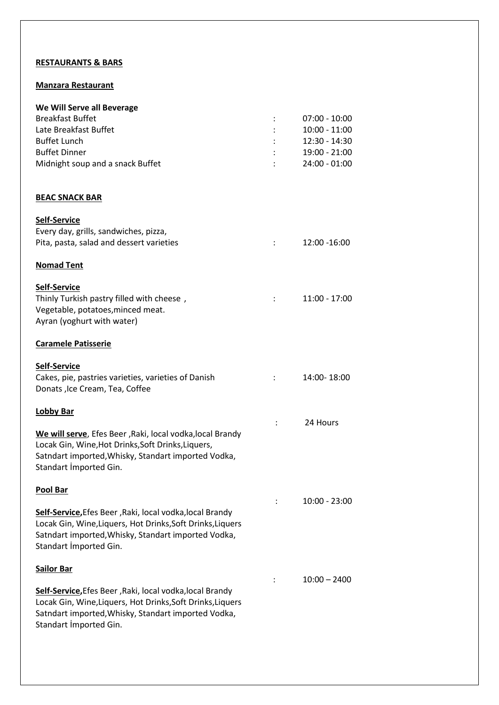# **RESTAURANTS & BARS**

## **Manzara Restaurant**

| We Will Serve all Beverage                                                                                             |                |                 |
|------------------------------------------------------------------------------------------------------------------------|----------------|-----------------|
| <b>Breakfast Buffet</b>                                                                                                |                | $07:00 - 10:00$ |
| Late Breakfast Buffet                                                                                                  |                | $10:00 - 11:00$ |
| <b>Buffet Lunch</b>                                                                                                    |                | 12:30 - 14:30   |
| <b>Buffet Dinner</b>                                                                                                   |                | 19:00 - 21:00   |
| Midnight soup and a snack Buffet                                                                                       |                | $24:00 - 01:00$ |
| <u>BEAC SNACK BAR</u>                                                                                                  |                |                 |
| <u>Self-Service</u>                                                                                                    |                |                 |
| Every day, grills, sandwiches, pizza,                                                                                  |                |                 |
| Pita, pasta, salad and dessert varieties                                                                               | ÷              | 12:00 -16:00    |
| <u>Nomad Tent</u>                                                                                                      |                |                 |
| <u>Self-Service</u>                                                                                                    |                |                 |
| Thinly Turkish pastry filled with cheese,                                                                              | $\mathbb{R}^n$ | $11:00 - 17:00$ |
| Vegetable, potatoes, minced meat.                                                                                      |                |                 |
| Ayran (yoghurt with water)                                                                                             |                |                 |
| <b>Caramele Patisserie</b>                                                                                             |                |                 |
| Self-Service                                                                                                           |                |                 |
| Cakes, pie, pastries varieties, varieties of Danish                                                                    |                | 14:00-18:00     |
| Donats , Ice Cream, Tea, Coffee                                                                                        |                |                 |
| <b>Lobby Bar</b>                                                                                                       |                |                 |
|                                                                                                                        |                | 24 Hours        |
| We will serve, Efes Beer, Raki, local vodka, local Brandy                                                              |                |                 |
| Locak Gin, Wine, Hot Drinks, Soft Drinks, Liquers,                                                                     |                |                 |
| Satndart imported, Whisky, Standart imported Vodka,                                                                    |                |                 |
| Standart İmported Gin.                                                                                                 |                |                 |
| Pool Bar                                                                                                               |                |                 |
|                                                                                                                        |                | 10:00 - 23:00   |
| Self-Service, Efes Beer, Raki, local vodka, local Brandy<br>Locak Gin, Wine, Liquers, Hot Drinks, Soft Drinks, Liquers |                |                 |
| Satndart imported, Whisky, Standart imported Vodka,                                                                    |                |                 |
| Standart İmported Gin.                                                                                                 |                |                 |
| Sailor Bar                                                                                                             |                |                 |
|                                                                                                                        |                | $10:00 - 2400$  |
| Self-Service, Efes Beer, Raki, local vodka, local Brandy                                                               |                |                 |
| Locak Gin, Wine, Liquers, Hot Drinks, Soft Drinks, Liquers                                                             |                |                 |
| Satndart imported, Whisky, Standart imported Vodka,                                                                    |                |                 |
| Standart İmported Gin.                                                                                                 |                |                 |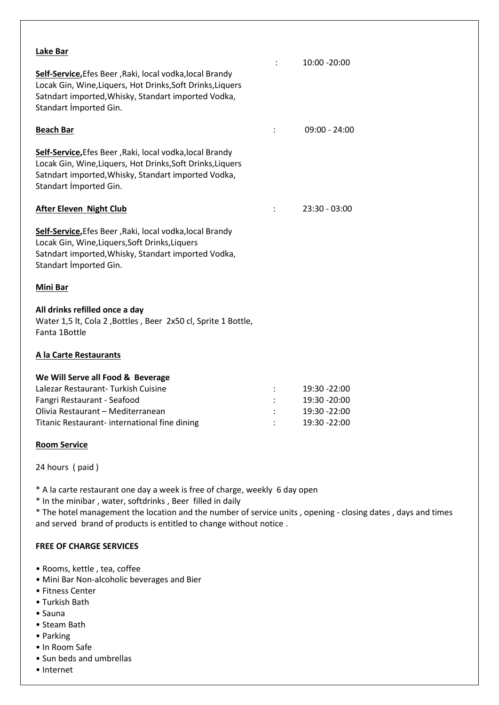| Lake Bar                                                                                                                                                                                                | $\ddot{\phantom{a}}$ | 10:00 -20:00    |
|---------------------------------------------------------------------------------------------------------------------------------------------------------------------------------------------------------|----------------------|-----------------|
| Self-Service, Efes Beer, Raki, local vodka, local Brandy<br>Locak Gin, Wine, Liquers, Hot Drinks, Soft Drinks, Liquers<br>Satndart imported, Whisky, Standart imported Vodka,<br>Standart Imported Gin. |                      |                 |
| <b>Beach Bar</b>                                                                                                                                                                                        |                      | $09:00 - 24:00$ |
| Self-Service, Efes Beer, Raki, local vodka, local Brandy<br>Locak Gin, Wine, Liquers, Hot Drinks, Soft Drinks, Liquers<br>Satndart imported, Whisky, Standart imported Vodka,<br>Standart İmported Gin. |                      |                 |
| <b>After Eleven Night Club</b>                                                                                                                                                                          | $\ddot{\phantom{a}}$ | $23:30 - 03:00$ |
| Self-Service, Efes Beer, Raki, local vodka, local Brandy<br>Locak Gin, Wine, Liquers, Soft Drinks, Liquers<br>Satndart imported, Whisky, Standart imported Vodka,<br>Standart Imported Gin.             |                      |                 |
| Mini Bar                                                                                                                                                                                                |                      |                 |
| All drinks refilled once a day<br>Water 1,5 lt, Cola 2, Bottles, Beer 2x50 cl, Sprite 1 Bottle,<br>Fanta 1Bottle                                                                                        |                      |                 |
| A la Carte Restaurants                                                                                                                                                                                  |                      |                 |
| We Will Serve all Food & Beverage                                                                                                                                                                       |                      |                 |
| Lalezar Restaurant-Turkish Cuisine                                                                                                                                                                      |                      | 19:30 -22:00    |
| Fangri Restaurant - Seafood                                                                                                                                                                             |                      | 19:30 - 20:00   |
| Olivia Restaurant - Mediterranean                                                                                                                                                                       |                      | 19:30 - 22:00   |
| Titanic Restaurant-international fine dining                                                                                                                                                            |                      | 19:30 - 22:00   |

## **Room Service**

24 hours ( paid )

\* A la carte restaurant one day a week is free of charge, weekly 6 day open

\* In the minibar , water, softdrinks , Beer filled in daily

\* The hotel management the location and the number of service units , opening - closing dates , days and times and served brand of products is entitled to change without notice .

# **FREE OF CHARGE SERVICES**

- Rooms, kettle , tea, coffee
- Mini Bar Non-alcoholic beverages and Bier
- Fitness Center
- Turkish Bath
- Sauna
- Steam Bath
- Parking
- In Room Safe
- Sun beds and umbrellas
- Internet